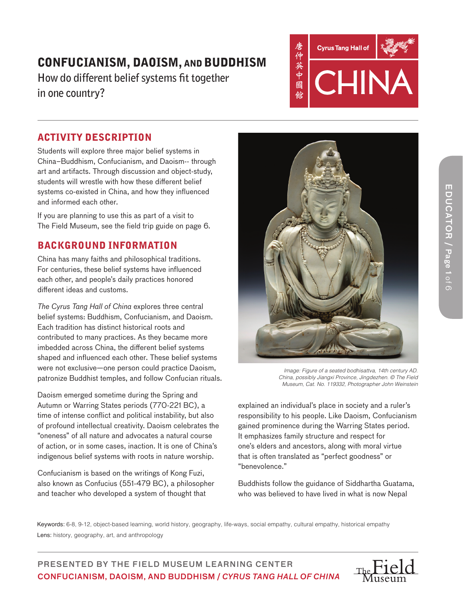**How do different belief systems fit together in one country?**



## ACTIVITY DESCRIPTION

Students will explore three major belief systems in China–Buddhism, Confucianism, and Daoism-- through art and artifacts. Through discussion and object-study, students will wrestle with how these different belief systems co-existed in China, and how they influenced and informed each other.

If you are planning to use this as part of a visit to The Field Museum, see the field trip guide on page 6.

## BACKGROUND INFORMATION

China has many faiths and philosophical traditions. For centuries, these belief systems have influenced each other, and people's daily practices honored different ideas and customs.

*The Cyrus Tang Hall of China* explores three central belief systems: Buddhism, Confucianism, and Daoism. Each tradition has distinct historical roots and contributed to many practices. As they became more imbedded across China, the different belief systems shaped and influenced each other. These belief systems were not exclusive—one person could practice Daoism, patronize Buddhist temples, and follow Confucian rituals.

Daoism emerged sometime during the Spring and Autumn or Warring States periods (770-221 BC), a time of intense conflict and political instability, but also of profound intellectual creativity. Daoism celebrates the "oneness" of all nature and advocates a natural course of action, or in some cases, inaction. It is one of China's indigenous belief systems with roots in nature worship.

Confucianism is based on the writings of Kong Fuzi, also known as Confucius (551-479 BC), a philosopher and teacher who developed a system of thought that



*Image: Figure of a seated bodhisattva, 14th century AD. China, possibly Jiangxi Province, Jingdezhen. © The Field Museum, Cat. No. 119332, Photographer John Weinstein*

explained an individual's place in society and a ruler's responsibility to his people. Like Daoism, Confucianism gained prominence during the Warring States period. It emphasizes family structure and respect for one's elders and ancestors, along with moral virtue that is often translated as "perfect goodness" or "benevolence."

Buddhists follow the guidance of Siddhartha Guatama, who was believed to have lived in what is now Nepal

Keywords: 6-8, 9-12, object-based learning, world history, geography, life-ways, social empathy, cultural empathy, historical empathy Lens: history, geography, art, and anthropology

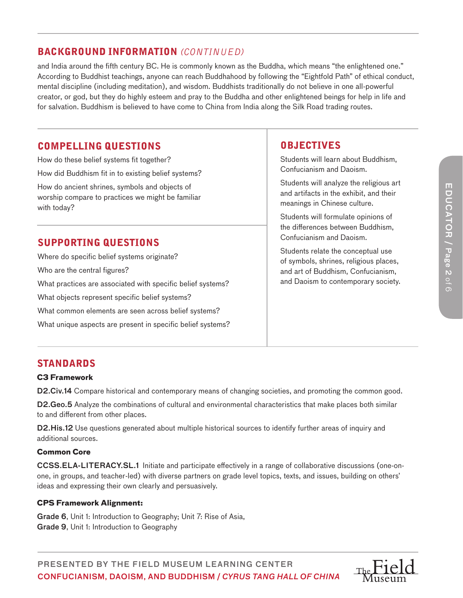## BACKGROUND INFORMATION *(CONTINUED)*

and India around the fifth century BC. He is commonly known as the Buddha, which means "the enlightened one." According to Buddhist teachings, anyone can reach Buddhahood by following the "Eightfold Path" of ethical conduct, mental discipline (including meditation), and wisdom. Buddhists traditionally do not believe in one all-powerful creator, or god, but they do highly esteem and pray to the Buddha and other enlightened beings for help in life and for salvation. Buddhism is believed to have come to China from India along the Silk Road trading routes.

### COMPELLING QUESTIONS

How do these belief systems fit together? How did Buddhism fit in to existing belief systems? How do ancient shrines, symbols and objects of worship compare to practices we might be familiar with today?

## SUPPORTING QUESTIONS

Where do specific belief systems originate? Who are the central figures? What practices are associated with specific belief systems? What objects represent specific belief systems? What common elements are seen across belief systems? What unique aspects are present in specific belief systems?

### **OBJECTIVES**

Students will learn about Buddhism, Confucianism and Daoism.

Students will analyze the religious art and artifacts in the exhibit, and their meanings in Chinese culture.

Students will formulate opinions of the differences between Buddhism, Confucianism and Daoism.

Students relate the conceptual use of symbols, shrines, religious places, and art of Buddhism, Confucianism, and Daoism to contemporary society.

## STANDARDS

#### **C3 Framework**

D2.Civ.14 Compare historical and contemporary means of changing societies, and promoting the common good.

D2.Geo.5 Analyze the combinations of cultural and environmental characteristics that make places both similar to and different from other places.

D2.His.12 Use questions generated about multiple historical sources to identify further areas of inquiry and additional sources.

#### **Common Core**

CCSS.ELA-LITERACY.SL.1 Initiate and participate effectively in a range of collaborative discussions (one-onone, in groups, and teacher-led) with diverse partners on grade level topics, texts, and issues, building on others' ideas and expressing their own clearly and persuasively.

#### **CPS Framework Alignment:**

Grade 6, Unit 1: Introduction to Geography; Unit 7: Rise of Asia, Grade 9, Unit 1: Introduction to Geography

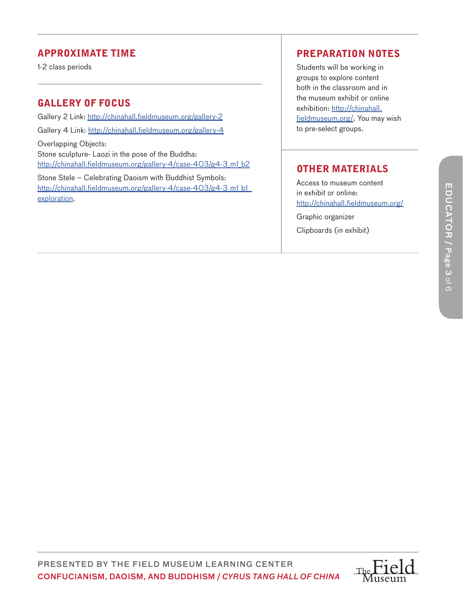## APPROXIMATE TIME

1-2 class periods

# GALLERY OF FOCUS

Gallery 2 Link: http://chinahall.fieldmuseum.org/gallery-2 Gallery 4 Link: http://chinahall.fieldmuseum.org/gallery-4 Overlapping Objects: Stone sculpture- Laozi in the pose of the Buddha: http://chinahall.fieldmuseum.org/gallery-4/case-403/g4-3 m1 b2

Stone Stele – Celebrating Daoism with Buddhist Symbols: http://chinahall.fieldmuseum.org/gallery-4/case-403/g4-3 m1 b1 exploration .

## PREPARATION NOTES

Students will be working in groups to explore content both in the classroom and in the museum exhibit or online exhibition: http://chinahall. fieldmuseum.org/. You may wish to pre-select groups.

# OTHER MATERIALS

Access to museum content in exhibit or online: http://chinahall.fieldmuseum.org/

Graphic organizer Clipboards (in exhibit)

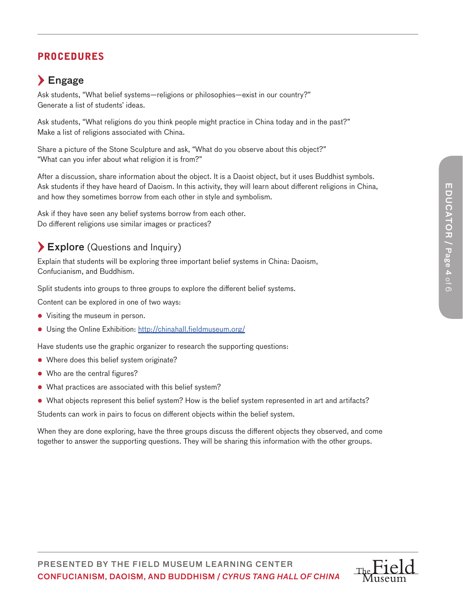# PROCEDURES

# $\sum$  Engage

Ask students, "What belief systems—religions or philosophies—exist in our country?" Generate a list of students' ideas.

Ask students, "What religions do you think people might practice in China today and in the past?" Make a list of religions associated with China.

Share a picture of the Stone Sculpture and ask, "What do you observe about this object?" "What can you infer about what religion it is from?"

After a discussion, share information about the object. It is a Daoist object, but it uses Buddhist symbols. Ask students if they have heard of Daoism. In this activity, they will learn about different religions in China, and how they sometimes borrow from each other in style and symbolism.

Ask if they have seen any belief systems borrow from each other. Do different religions use similar images or practices?

# $\blacktriangleright$  Explore (Questions and Inquiry)

Explain that students will be exploring three important belief systems in China: Daoism, Confucianism, and Buddhism.

Split students into groups to three groups to explore the different belief systems.

Content can be explored in one of two ways:

- Visiting the museum in person.
- Using the Online Exhibition: http://chinahall.fieldmuseum.org/

Have students use the graphic organizer to research the supporting questions:

- Where does this belief system originate?
- Who are the central figures?
- What practices are associated with this belief system?
- What objects represent this belief system? How is the belief system represented in art and artifacts?

Students can work in pairs to focus on different objects within the belief system.

When they are done exploring, have the three groups discuss the different objects they observed, and come together to answer the supporting questions. They will be sharing this information with the other groups.

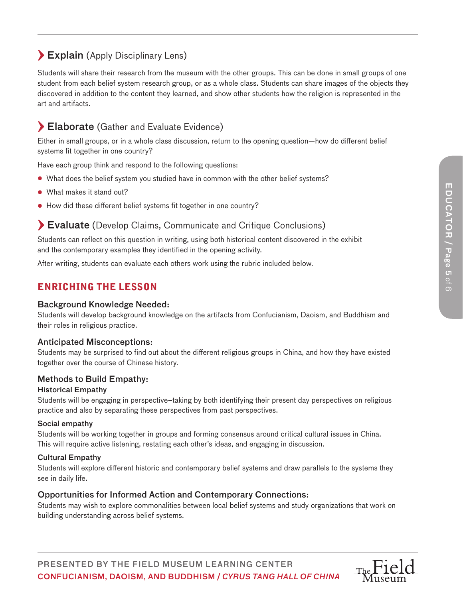# Explain (Apply Disciplinary Lens)

Students will share their research from the museum with the other groups. This can be done in small groups of one student from each belief system research group, or as a whole class. Students can share images of the objects they discovered in addition to the content they learned, and show other students how the religion is represented in the art and artifacts.

# Elaborate (Gather and Evaluate Evidence)

Either in small groups, or in a whole class discussion, return to the opening question—how do different belief systems fit together in one country?

Have each group think and respond to the following questions:

- What does the belief system you studied have in common with the other belief systems?
- What makes it stand out?
- How did these different belief systems fit together in one country?

# Evaluate (Develop Claims, Communicate and Critique Conclusions)

Students can reflect on this question in writing, using both historical content discovered in the exhibit and the contemporary examples they identified in the opening activity.

After writing, students can evaluate each others work using the rubric included below.

## ENRICHING THE LESSON

#### Background Knowledge Needed:

Students will develop background knowledge on the artifacts from Confucianism, Daoism, and Buddhism and their roles in religious practice.

#### Anticipated Misconceptions:

Students may be surprised to find out about the different religious groups in China, and how they have existed together over the course of Chinese history.

#### Methods to Build Empathy:

#### Historical Empathy

Students will be engaging in perspective–taking by both identifying their present day perspectives on religious practice and also by separating these perspectives from past perspectives.

#### Social empathy

Students will be working together in groups and forming consensus around critical cultural issues in China. This will require active listening, restating each other's ideas, and engaging in discussion.

#### Cultural Empathy

Students will explore different historic and contemporary belief systems and draw parallels to the systems they see in daily life.

#### Opportunities for Informed Action and Contemporary Connections:

Students may wish to explore commonalities between local belief systems and study organizations that work on building understanding across belief systems.

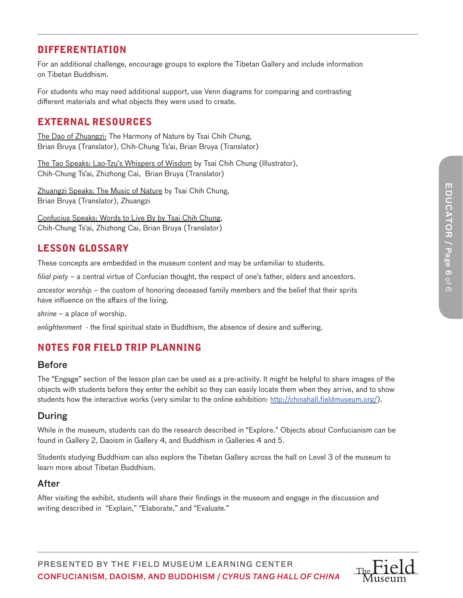## DIFFERENTIATION

For an additional challenge, encourage groups to explore the Tibetan Gallery and include information on Tibetan Buddhism.

For students who may need additional support, use Venn diagrams for comparing and contrasting different materials and what objects they were used to create.

## EXTERNAL RESOURCES

The Dao of Zhuangzi: The Harmony of Nature by Tsai Chih Chung, Brian Bruya (Translator), Chih-Chung Ts'ai, Brian Bruya (Translator)

The Tao Speaks: Lao-Tzu's Whispers of Wisdom by Tsai Chih Chung (Illustrator), Chih-Chung Ts'ai, Zhizhong Cai, Brian Bruya (Translator)

Zhuangzi Speaks: The Music of Nature by Tsai Chih Chung, Brian Bruya (Translator), Zhuangzi

Confucius Speaks: Words to Live By by Tsai Chih Chung, Chih-Chung Ts'ai, Zhizhong Cai, Brian Bruya (Translator)

## LESSON GLOSSARY

These concepts are embedded in the museum content and may be unfamiliar to students.

*filial piety –* a central virtue of Confucian thought, the respect of one's father, elders and ancestors.

*ancestor worship –* the custom of honoring deceased family members and the belief that their sprits have influence on the affairs of the living.

*shrine –* a place of worship.

*enlightenment -* the final spiritual state in Buddhism, the absence of desire and suffering.

# NOTES FOR FIELD TRIP PLANNING

### Before

The "Engage" section of the lesson plan can be used as a pre-activity. It might be helpful to share images of the objects with students before they enter the exhibit so they can easily locate them when they arrive, and to show students how the interactive works (very similar to the online exhibition: http://chinahall.fieldmuseum.org/).

## During

While in the museum, students can do the research described in "Explore." Objects about Confucianism can be found in Gallery 2, Daoism in Gallery 4, and Buddhism in Galleries 4 and 5.

Students studying Buddhism can also explore the Tibetan Gallery across the hall on Level 3 of the museum to learn more about Tibetan Buddhism.

### After

After visiting the exhibit, students will share their findings in the museum and engage in the discussion and writing described in "Explain," "Elaborate," and "Evaluate."

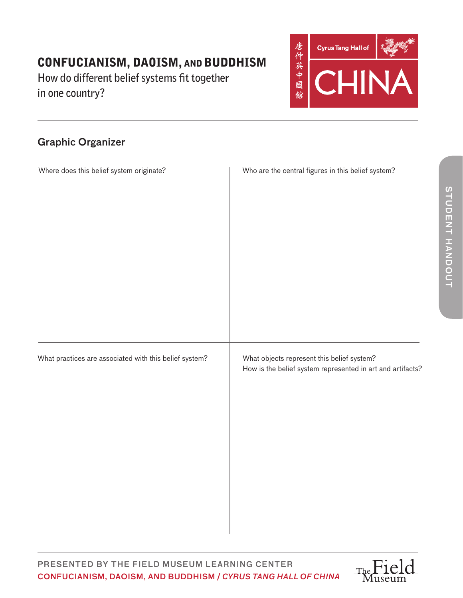**How do different belief systems fit together in one country?**



# Graphic Organizer

| Where does this belief system originate?               | Who are the central figures in this belief system?                                                       |
|--------------------------------------------------------|----------------------------------------------------------------------------------------------------------|
| What practices are associated with this belief system? | What objects represent this belief system?<br>How is the belief system represented in art and artifacts? |

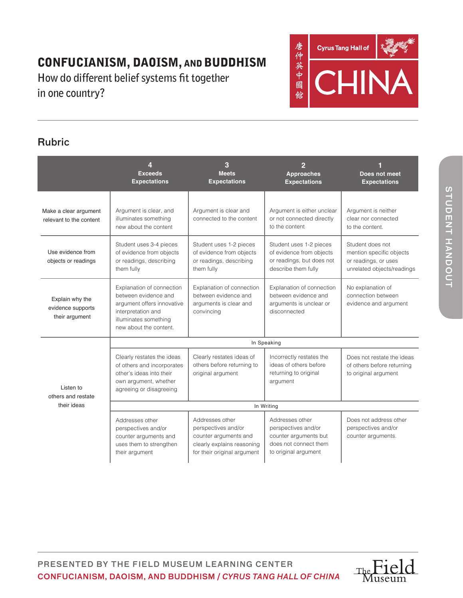**How do different belief systems fit together in one country?**



# Rubric

|                                                        | <b>Exceeds</b><br><b>Expectations</b>                                                                                                                    | 3<br><b>Meets</b><br><b>Expectations</b>                                                                                     | $\overline{2}$<br><b>Approaches</b><br><b>Expectations</b>                                                       | Does not meet<br><b>Expectations</b>                                                               |
|--------------------------------------------------------|----------------------------------------------------------------------------------------------------------------------------------------------------------|------------------------------------------------------------------------------------------------------------------------------|------------------------------------------------------------------------------------------------------------------|----------------------------------------------------------------------------------------------------|
| Make a clear argument<br>relevant to the content       | Argument is clear, and<br>illuminates something<br>new about the content                                                                                 | Argument is clear and<br>connected to the content                                                                            | Argument is either unclear<br>or not connected directly<br>to the content                                        | Argument is neither<br>clear nor connected<br>to the content.                                      |
| Use evidence from<br>objects or readings               | Student uses 3-4 pieces<br>of evidence from objects<br>or readings, describing<br>them fully                                                             | Student uses 1-2 pieces<br>of evidence from objects<br>or readings, describing<br>them fully                                 | Student uses 1-2 pieces<br>of evidence from objects<br>or readings, but does not<br>describe them fully          | Student does not<br>mention specific objects<br>or readings, or uses<br>unrelated objects/readings |
| Explain why the<br>evidence supports<br>their argument | Explanation of connection<br>between evidence and<br>argument offers innovative<br>interpretation and<br>illuminates something<br>new about the content. | Explanation of connection<br>between evidence and<br>arguments is clear and<br>convincing                                    | Explanation of connection<br>between evidence and<br>arguments is unclear or<br>disconnected                     | No explanation of<br>connection between<br>evidence and argument                                   |
| Listen to<br>others and restate<br>their ideas         | In Speaking                                                                                                                                              |                                                                                                                              |                                                                                                                  |                                                                                                    |
|                                                        | Clearly restates the ideas<br>of others and incorporates<br>other's ideas into their<br>own argument, whether<br>agreeing or disagreeing                 | Clearly restates ideas of<br>others before returning to<br>original argument                                                 | Incorrectly restates the<br>ideas of others before<br>returning to original<br>argument                          | Does not restate the ideas<br>of others before returning<br>to original argument                   |
|                                                        | In Writing                                                                                                                                               |                                                                                                                              |                                                                                                                  |                                                                                                    |
|                                                        | Addresses other<br>perspectives and/or<br>counter arguments and<br>uses them to strengthen<br>their argument                                             | Addresses other<br>perspectives and/or<br>counter arguments and<br>clearly explains reasoning<br>for their original argument | Addresses other<br>perspectives and/or<br>counter arguments but<br>does not connect them<br>to original argument | Does not address other<br>perspectives and/or<br>counter arguments.                                |